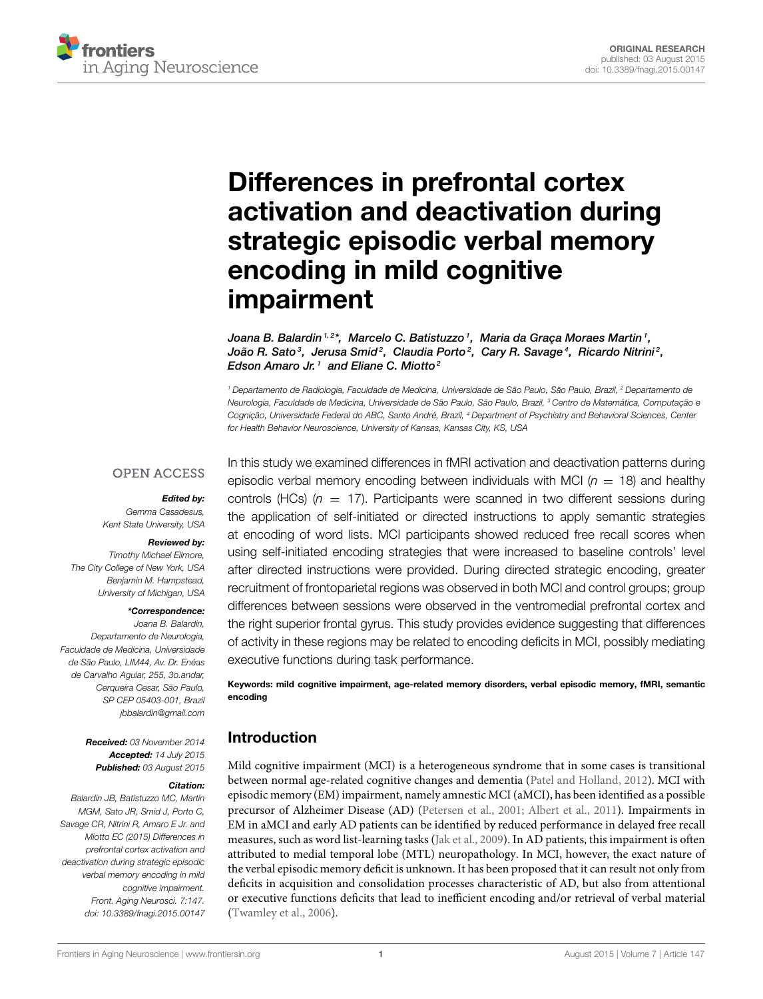

# Differences in prefrontal cortex [activation and deactivation during](http://journal.frontiersin.org/article/10.3389/fnagi.2015.00147/abstract) strategic episodic verbal memory encoding in mild cognitive impairment

[Joana B. Balardin](http://loop.frontiersin.org/people/103444/overview)<sup>1,2\*</sup>,  [Marcelo C. Batistuzzo](http://loop.frontiersin.org/people/223408/overview)<sup>1</sup>, Maria da Graça Moraes Martin<sup>1</sup>, [João R. Sato](http://loop.frontiersin.org/people/45669/overview) $^3$ , Jerusa Smid $^2$ , Claudia Porto $^2$ , [Cary R. Savage](http://loop.frontiersin.org/people/158122/overview) $^4$ , Ricardo Nitrini $^2$ , [Edson Amaro Jr.](http://loop.frontiersin.org/people/103619/overview)<sup>1</sup> and [Eliane C. Miotto](http://loop.frontiersin.org/people/256791/overview)<sup>2</sup>

<sup>1</sup> Departamento de Radiologia, Faculdade de Medicina, Universidade de São Paulo, São Paulo, Brazil, <sup>2</sup> Departamento de Neurologia, Faculdade de Medicina, Universidade de São Paulo, São Paulo, Brazil, <sup>3</sup> Centro de Matemática, Computação e Cognição, Universidade Federal do ABC, Santo André, Brazil, <sup>4</sup> Department of Psychiatry and Behavioral Sciences, Center for Health Behavior Neuroscience, University of Kansas, Kansas City, KS, USA

#### **OPEN ACCESS**

#### Edited by:

Gemma Casadesus, Kent State University, USA

#### Reviewed by:

Timothy Michael Ellmore, The City College of New York, USA Benjamin M. Hampstead, University of Michigan, USA

#### \*Correspondence:

Joana B. Balardin, Departamento de Neurologia, Faculdade de Medicina, Universidade de São Paulo, LIM44, Av. Dr. Enéas de Carvalho Aguiar, 255, 3o.andar, Cerqueira Cesar, São Paulo, SP CEP 05403-001, Brazil [jbbalardin@gmail.com](mailto:jbbalardin@gmail.com)

> Received: 03 November 2014 Accepted: 14 July 2015 Published: 03 August 2015

#### Citation:

Balardin JB, Batistuzzo MC, Martin MGM, Sato JR, Smid J, Porto C, Savage CR, Nitrini R, Amaro E Jr. and Miotto EC (2015) Differences in prefrontal cortex activation and deactivation during strategic episodic verbal memory encoding in mild cognitive impairment. Front. Aging Neurosci. 7:147. doi: [10.3389/fnagi.2015.00147](http://dx.doi.org/10.3389/fnagi.2015.00147) In this study we examined differences in fMRI activation and deactivation patterns during episodic verbal memory encoding between individuals with MCI ( $n = 18$ ) and healthy controls (HCs) ( $n = 17$ ). Participants were scanned in two different sessions during the application of self-initiated or directed instructions to apply semantic strategies at encoding of word lists. MCI participants showed reduced free recall scores when using self-initiated encoding strategies that were increased to baseline controls' level after directed instructions were provided. During directed strategic encoding, greater recruitment of frontoparietal regions was observed in both MCI and control groups; group differences between sessions were observed in the ventromedial prefrontal cortex and the right superior frontal gyrus. This study provides evidence suggesting that differences of activity in these regions may be related to encoding deficits in MCI, possibly mediating executive functions during task performance.

Keywords: mild cognitive impairment, age-related memory disorders, verbal episodic memory, fMRI, semantic encoding

## Introduction

Mild cognitive impairment (MCI) is a heterogeneous syndrome that in some cases is transitional between normal age-related cognitive changes and dementia [\(Patel and Holland, 2012\)](#page-9-0). MCI with episodic memory (EM) impairment, namely amnestic MCI (aMCI), has been identified as a possible precursor of Alzheimer Disease (AD) [\(Petersen et al., 2001;](#page-9-1) [Albert et al., 2011\)](#page-8-0). Impairments in EM in aMCI and early AD patients can be identified by reduced performance in delayed free recall measures, such as word list-learning tasks [\(Jak et al., 2009\)](#page-8-1). In AD patients, this impairment is often attributed to medial temporal lobe (MTL) neuropathology. In MCI, however, the exact nature of the verbal episodic memory deficit is unknown. It has been proposed that it can result not only from deficits in acquisition and consolidation processes characteristic of AD, but also from attentional or executive functions deficits that lead to inefficient encoding and/or retrieval of verbal material [\(Twamley et al., 2006\)](#page-9-2).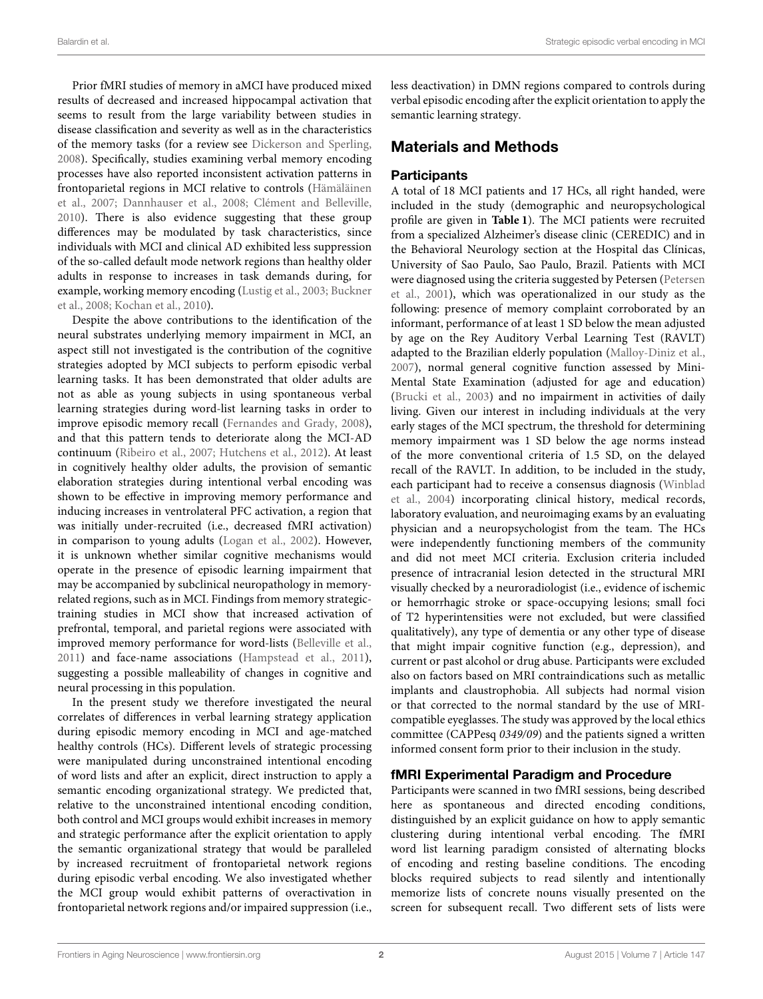Prior fMRI studies of memory in aMCI have produced mixed results of decreased and increased hippocampal activation that seems to result from the large variability between studies in disease classification and severity as well as in the characteristics of the memory tasks (for a review see [Dickerson and Sperling,](#page-8-2) [2008\)](#page-8-2). Specifically, studies examining verbal memory encoding processes have also reported inconsistent activation patterns in frontoparietal regions in MCI relative to controls (Hämäläinen et al., [2007;](#page-8-3) [Dannhauser et al., 2008;](#page-8-4) [Clément and Belleville,](#page-8-5) [2010\)](#page-8-5). There is also evidence suggesting that these group differences may be modulated by task characteristics, since individuals with MCI and clinical AD exhibited less suppression of the so-called default mode network regions than healthy older adults in response to increases in task demands during, for example, working memory encoding [\(Lustig et al., 2003;](#page-9-3) Buckner et al., [2008;](#page-8-6) [Kochan et al., 2010\)](#page-9-4).

Despite the above contributions to the identification of the neural substrates underlying memory impairment in MCI, an aspect still not investigated is the contribution of the cognitive strategies adopted by MCI subjects to perform episodic verbal learning tasks. It has been demonstrated that older adults are not as able as young subjects in using spontaneous verbal learning strategies during word-list learning tasks in order to improve episodic memory recall [\(Fernandes and Grady, 2008\)](#page-8-7), and that this pattern tends to deteriorate along the MCI-AD continuum [\(Ribeiro et al., 2007;](#page-9-5) [Hutchens et al., 2012\)](#page-8-8). At least in cognitively healthy older adults, the provision of semantic elaboration strategies during intentional verbal encoding was shown to be effective in improving memory performance and inducing increases in ventrolateral PFC activation, a region that was initially under-recruited (i.e., decreased fMRI activation) in comparison to young adults [\(Logan et al., 2002\)](#page-9-6). However, it is unknown whether similar cognitive mechanisms would operate in the presence of episodic learning impairment that may be accompanied by subclinical neuropathology in memoryrelated regions, such as in MCI. Findings from memory strategictraining studies in MCI show that increased activation of prefrontal, temporal, and parietal regions were associated with improved memory performance for word-lists [\(Belleville et al.,](#page-8-9) [2011\)](#page-8-9) and face-name associations [\(Hampstead et al., 2011\)](#page-8-10), suggesting a possible malleability of changes in cognitive and neural processing in this population.

In the present study we therefore investigated the neural correlates of differences in verbal learning strategy application during episodic memory encoding in MCI and age-matched healthy controls (HCs). Different levels of strategic processing were manipulated during unconstrained intentional encoding of word lists and after an explicit, direct instruction to apply a semantic encoding organizational strategy. We predicted that, relative to the unconstrained intentional encoding condition, both control and MCI groups would exhibit increases in memory and strategic performance after the explicit orientation to apply the semantic organizational strategy that would be paralleled by increased recruitment of frontoparietal network regions during episodic verbal encoding. We also investigated whether the MCI group would exhibit patterns of overactivation in frontoparietal network regions and/or impaired suppression (i.e., less deactivation) in DMN regions compared to controls during verbal episodic encoding after the explicit orientation to apply the semantic learning strategy.

# Materials and Methods

# **Participants**

A total of 18 MCI patients and 17 HCs, all right handed, were included in the study (demographic and neuropsychological profile are given in **[Table 1](#page-2-0)**). The MCI patients were recruited from a specialized Alzheimer's disease clinic (CEREDIC) and in the Behavioral Neurology section at the Hospital das Clínicas, University of Sao Paulo, Sao Paulo, Brazil. Patients with MCI were diagnosed using the criteria suggested by Petersen (Petersen et al., [2001\)](#page-9-1), which was operationalized in our study as the following: presence of memory complaint corroborated by an informant, performance of at least 1 SD below the mean adjusted by age on the Rey Auditory Verbal Learning Test (RAVLT) adapted to the Brazilian elderly population [\(Malloy-Diniz et al.,](#page-9-7) [2007\)](#page-9-7), normal general cognitive function assessed by Mini-Mental State Examination (adjusted for age and education) [\(Brucki et al., 2003\)](#page-8-11) and no impairment in activities of daily living. Given our interest in including individuals at the very early stages of the MCI spectrum, the threshold for determining memory impairment was 1 SD below the age norms instead of the more conventional criteria of 1.5 SD, on the delayed recall of the RAVLT. In addition, to be included in the study, each participant had to receive a consensus diagnosis (Winblad et al., [2004\)](#page-9-8) incorporating clinical history, medical records, laboratory evaluation, and neuroimaging exams by an evaluating physician and a neuropsychologist from the team. The HCs were independently functioning members of the community and did not meet MCI criteria. Exclusion criteria included presence of intracranial lesion detected in the structural MRI visually checked by a neuroradiologist (i.e., evidence of ischemic or hemorrhagic stroke or space-occupying lesions; small foci of T2 hyperintensities were not excluded, but were classified qualitatively), any type of dementia or any other type of disease that might impair cognitive function (e.g., depression), and current or past alcohol or drug abuse. Participants were excluded also on factors based on MRI contraindications such as metallic implants and claustrophobia. All subjects had normal vision or that corrected to the normal standard by the use of MRIcompatible eyeglasses. The study was approved by the local ethics committee (CAPPesq 0349/09) and the patients signed a written informed consent form prior to their inclusion in the study.

# fMRI Experimental Paradigm and Procedure

Participants were scanned in two fMRI sessions, being described here as spontaneous and directed encoding conditions, distinguished by an explicit guidance on how to apply semantic clustering during intentional verbal encoding. The fMRI word list learning paradigm consisted of alternating blocks of encoding and resting baseline conditions. The encoding blocks required subjects to read silently and intentionally memorize lists of concrete nouns visually presented on the screen for subsequent recall. Two different sets of lists were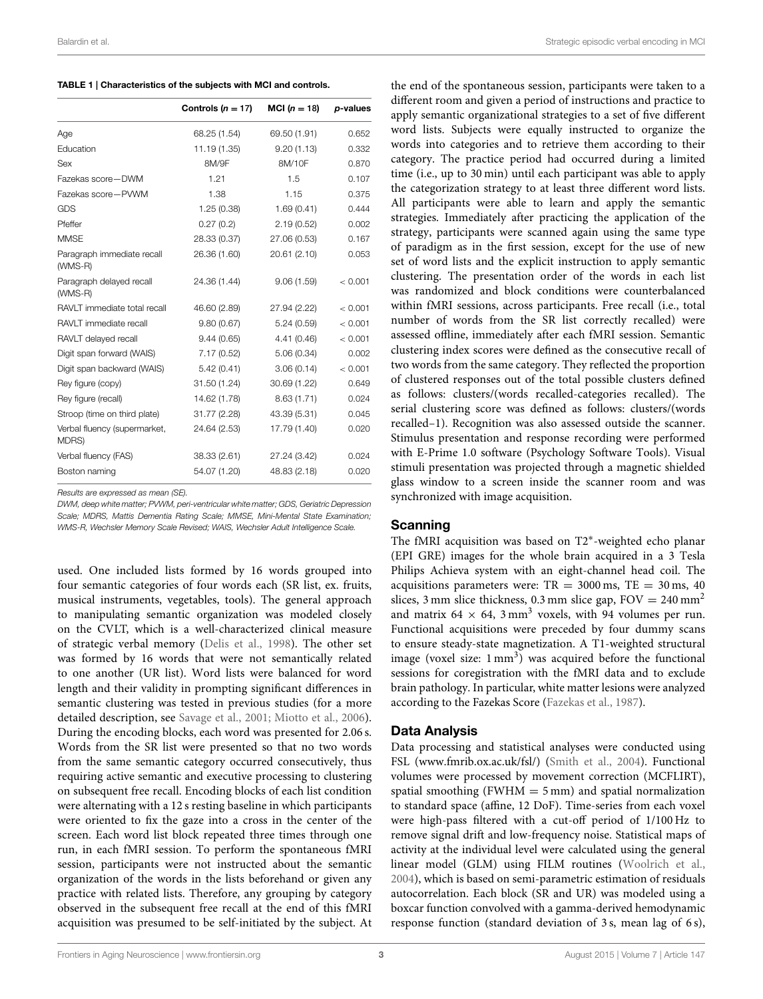<span id="page-2-0"></span>

|                                       | Controls $(n = 17)$ | <b>MCI</b> ( $n = 18$ ) | p-values |
|---------------------------------------|---------------------|-------------------------|----------|
| Age                                   | 68.25 (1.54)        | 69.50 (1.91)            | 0.652    |
| Education                             | 11.19 (1.35)        | 9.20(1.13)              | 0.332    |
| Sex                                   | 8M/9F               | 8M/10F                  | 0.870    |
| Fazekas score-DWM                     | 1.21                | 1.5                     | 0.107    |
| Fazekas score-PVWM                    | 1.38                | 1.15                    | 0.375    |
| <b>GDS</b>                            | 1.25(0.38)          | 1.69(0.41)              | 0.444    |
| Pfeffer                               | 0.27(0.2)           | 2.19(0.52)              | 0.002    |
| <b>MMSE</b>                           | 28.33 (0.37)        | 27.06 (0.53)            | 0.167    |
| Paragraph immediate recall<br>(WMS-R) | 26.36 (1.60)        | 20.61 (2.10)            | 0.053    |
| Paragraph delayed recall<br>(WMS-R)   | 24.36 (1.44)        | 9.06(1.59)              | < 0.001  |
| RAVLT immediate total recall          | 46.60 (2.89)        | 27.94 (2.22)            | < 0.001  |
| RAVLT immediate recall                | 9.80(0.67)          | 5.24(0.59)              | < 0.001  |
| RAVLT delayed recall                  | 9.44(0.65)          | 4.41 (0.46)             | < 0.001  |
| Digit span forward (WAIS)             | 7.17(0.52)          | 5.06(0.34)              | 0.002    |
| Digit span backward (WAIS)            | 5.42(0.41)          | 3.06(0.14)              | < 0.001  |
| Rey figure (copy)                     | 31.50 (1.24)        | 30.69 (1.22)            | 0.649    |
| Rey figure (recall)                   | 14.62 (1.78)        | 8.63(1.71)              | 0.024    |
| Stroop (time on third plate)          | 31.77 (2.28)        | 43.39 (5.31)            | 0.045    |
| Verbal fluency (supermarket,<br>MDRS) | 24.64 (2.53)        | 17.79 (1.40)            | 0.020    |
| Verbal fluency (FAS)                  | 38.33 (2.61)        | 27.24 (3.42)            | 0.024    |
| Boston naming                         | 54.07 (1.20)        | 48.83 (2.18)            | 0.020    |
|                                       |                     |                         |          |

Results are expressed as mean (SE).

DWM, deep white matter; PVWM, peri-ventricular white matter; GDS, Geriatric Depression Scale; MDRS, Mattis Dementia Rating Scale; MMSE, Mini-Mental State Examination; WMS-R, Wechsler Memory Scale Revised; WAIS, Wechsler Adult Intelligence Scale.

used. One included lists formed by 16 words grouped into four semantic categories of four words each (SR list, ex. fruits, musical instruments, vegetables, tools). The general approach to manipulating semantic organization was modeled closely on the CVLT, which is a well-characterized clinical measure of strategic verbal memory [\(Delis et al., 1998\)](#page-8-12). The other set was formed by 16 words that were not semantically related to one another (UR list). Word lists were balanced for word length and their validity in prompting significant differences in semantic clustering was tested in previous studies (for a more detailed description, see [Savage et al., 2001;](#page-9-9) [Miotto et al., 2006\)](#page-9-10). During the encoding blocks, each word was presented for 2.06 s. Words from the SR list were presented so that no two words from the same semantic category occurred consecutively, thus requiring active semantic and executive processing to clustering on subsequent free recall. Encoding blocks of each list condition were alternating with a 12 s resting baseline in which participants were oriented to fix the gaze into a cross in the center of the screen. Each word list block repeated three times through one run, in each fMRI session. To perform the spontaneous fMRI session, participants were not instructed about the semantic organization of the words in the lists beforehand or given any practice with related lists. Therefore, any grouping by category observed in the subsequent free recall at the end of this fMRI acquisition was presumed to be self-initiated by the subject. At

the end of the spontaneous session, participants were taken to a different room and given a period of instructions and practice to apply semantic organizational strategies to a set of five different word lists. Subjects were equally instructed to organize the words into categories and to retrieve them according to their category. The practice period had occurred during a limited time (i.e., up to 30 min) until each participant was able to apply the categorization strategy to at least three different word lists. All participants were able to learn and apply the semantic strategies. Immediately after practicing the application of the strategy, participants were scanned again using the same type of paradigm as in the first session, except for the use of new set of word lists and the explicit instruction to apply semantic clustering. The presentation order of the words in each list was randomized and block conditions were counterbalanced within fMRI sessions, across participants. Free recall (i.e., total number of words from the SR list correctly recalled) were assessed offline, immediately after each fMRI session. Semantic clustering index scores were defined as the consecutive recall of two words from the same category. They reflected the proportion of clustered responses out of the total possible clusters defined as follows: clusters/(words recalled-categories recalled). The serial clustering score was defined as follows: clusters/(words recalled–1). Recognition was also assessed outside the scanner. Stimulus presentation and response recording were performed with E-Prime 1.0 software (Psychology Software Tools). Visual stimuli presentation was projected through a magnetic shielded glass window to a screen inside the scanner room and was synchronized with image acquisition.

#### Scanning

The fMRI acquisition was based on T2<sup>∗</sup> -weighted echo planar (EPI GRE) images for the whole brain acquired in a 3 Tesla Philips Achieva system with an eight-channel head coil. The acquisitions parameters were:  $TR = 3000$  ms,  $TE = 30$  ms,  $40$ slices, 3 mm slice thickness, 0.3 mm slice gap,  $FOV = 240$  mm<sup>2</sup> and matrix 64  $\times$  64, 3 mm<sup>3</sup> voxels, with 94 volumes per run. Functional acquisitions were preceded by four dummy scans to ensure steady-state magnetization. A T1-weighted structural image (voxel size:  $1 \text{ mm}^3$ ) was acquired before the functional sessions for coregistration with the fMRI data and to exclude brain pathology. In particular, white matter lesions were analyzed according to the Fazekas Score [\(Fazekas et al., 1987\)](#page-8-13).

#### Data Analysis

Data processing and statistical analyses were conducted using FSL [\(www.fmrib.ox.ac.uk/fsl/\)](www.fmrib.ox.ac.uk/fsl/) [\(Smith et al., 2004\)](#page-9-11). Functional volumes were processed by movement correction (MCFLIRT), spatial smoothing (FWHM  $=$  5 mm) and spatial normalization to standard space (affine, 12 DoF). Time-series from each voxel were high-pass filtered with a cut-off period of 1/100 Hz to remove signal drift and low-frequency noise. Statistical maps of activity at the individual level were calculated using the general linear model (GLM) using FILM routines [\(Woolrich et al.,](#page-9-12) [2004\)](#page-9-12), which is based on semi-parametric estimation of residuals autocorrelation. Each block (SR and UR) was modeled using a boxcar function convolved with a gamma-derived hemodynamic response function (standard deviation of 3 s, mean lag of 6 s),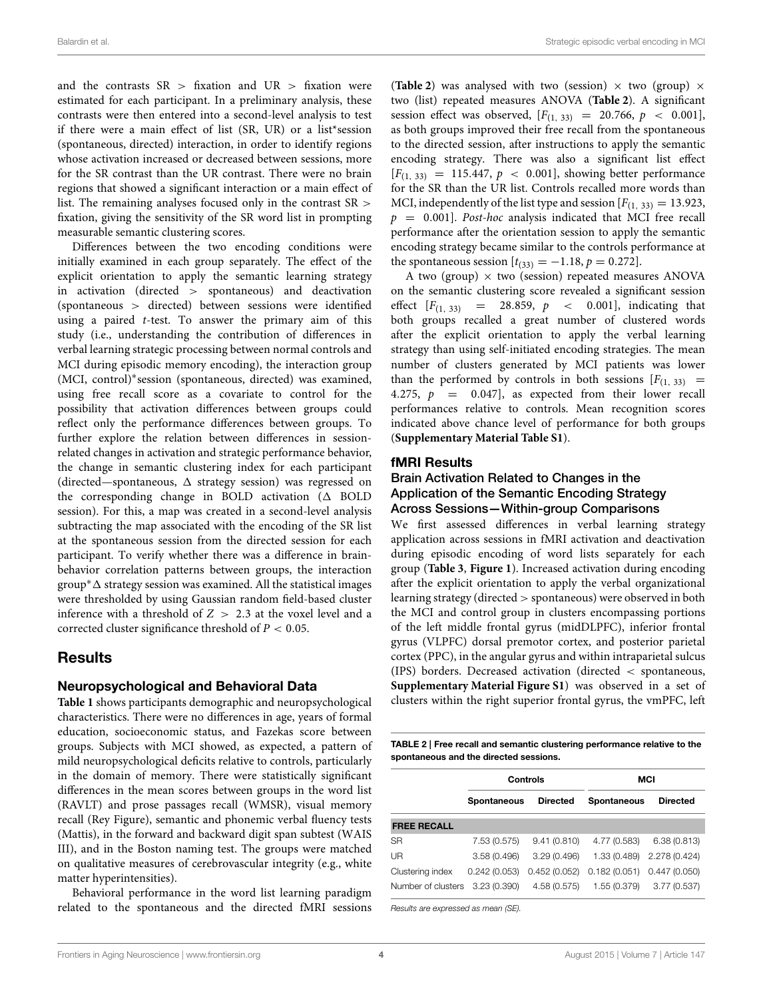and the contrasts  $SR$  > fixation and  $UR$  > fixation were estimated for each participant. In a preliminary analysis, these contrasts were then entered into a second-level analysis to test if there were a main effect of list (SR, UR) or a list\*session (spontaneous, directed) interaction, in order to identify regions whose activation increased or decreased between sessions, more for the SR contrast than the UR contrast. There were no brain regions that showed a significant interaction or a main effect of list. The remaining analyses focused only in the contrast SR > fixation, giving the sensitivity of the SR word list in prompting measurable semantic clustering scores.

Differences between the two encoding conditions were initially examined in each group separately. The effect of the explicit orientation to apply the semantic learning strategy in activation (directed > spontaneous) and deactivation (spontaneous > directed) between sessions were identified using a paired  $t$ -test. To answer the primary aim of this study (i.e., understanding the contribution of differences in verbal learning strategic processing between normal controls and MCI during episodic memory encoding), the interaction group (MCI, control)<sup>∗</sup> session (spontaneous, directed) was examined, using free recall score as a covariate to control for the possibility that activation differences between groups could reflect only the performance differences between groups. To further explore the relation between differences in sessionrelated changes in activation and strategic performance behavior, the change in semantic clustering index for each participant (directed—spontaneous,  $\Delta$  strategy session) was regressed on the corresponding change in BOLD activation  $(\Delta$  BOLD session). For this, a map was created in a second-level analysis subtracting the map associated with the encoding of the SR list at the spontaneous session from the directed session for each participant. To verify whether there was a difference in brainbehavior correlation patterns between groups, the interaction group<sup>\*</sup> $\Delta$  strategy session was examined. All the statistical images were thresholded by using Gaussian random field-based cluster inference with a threshold of  $Z > 2.3$  at the voxel level and a corrected cluster significance threshold of  $P < 0.05$ .

# Results

#### Neuropsychological and Behavioral Data

**[Table 1](#page-2-0)** shows participants demographic and neuropsychological characteristics. There were no differences in age, years of formal education, socioeconomic status, and Fazekas score between groups. Subjects with MCI showed, as expected, a pattern of mild neuropsychological deficits relative to controls, particularly in the domain of memory. There were statistically significant differences in the mean scores between groups in the word list (RAVLT) and prose passages recall (WMSR), visual memory recall (Rey Figure), semantic and phonemic verbal fluency tests (Mattis), in the forward and backward digit span subtest (WAIS III), and in the Boston naming test. The groups were matched on qualitative measures of cerebrovascular integrity (e.g., white matter hyperintensities).

Behavioral performance in the word list learning paradigm related to the spontaneous and the directed fMRI sessions (**[Table 2](#page-3-0)**) was analysed with two (session)  $\times$  two (group)  $\times$ two (list) repeated measures ANOVA (**[Table 2](#page-3-0)**). A significant session effect was observed,  $[F(1, 33)] = 20.766, p < 0.001]$ , as both groups improved their free recall from the spontaneous to the directed session, after instructions to apply the semantic encoding strategy. There was also a significant list effect  $[F_{(1, 33)} = 115.447, p \, < \, 0.001]$ , showing better performance for the SR than the UR list. Controls recalled more words than MCI, independently of the list type and session  $[F(1, 33)] = 13.923$ ,  $p = 0.001$ ]. Post-hoc analysis indicated that MCI free recall performance after the orientation session to apply the semantic encoding strategy became similar to the controls performance at the spontaneous session  $[t_{(33)} = -1.18, p = 0.272]$ .

A two (group)  $\times$  two (session) repeated measures ANOVA on the semantic clustering score revealed a significant session effect  $[F_{(1, 33)} = 28.859, p \lt 0.001]$ , indicating that both groups recalled a great number of clustered words after the explicit orientation to apply the verbal learning strategy than using self-initiated encoding strategies. The mean number of clusters generated by MCI patients was lower than the performed by controls in both sessions  $[F(1, 33)] =$ 4.275,  $p = 0.047$ , as expected from their lower recall performances relative to controls. Mean recognition scores indicated above chance level of performance for both groups (**[Supplementary Material Table S1](#page-8-14)**).

#### fMRI Results

#### Brain Activation Related to Changes in the Application of the Semantic Encoding Strategy Across Sessions—Within-group Comparisons

We first assessed differences in verbal learning strategy application across sessions in fMRI activation and deactivation during episodic encoding of word lists separately for each group (**[Table 3](#page-4-0)**, **[Figure 1](#page-5-0)**). Increased activation during encoding after the explicit orientation to apply the verbal organizational learning strategy (directed > spontaneous) were observed in both the MCI and control group in clusters encompassing portions of the left middle frontal gyrus (midDLPFC), inferior frontal gyrus (VLPFC) dorsal premotor cortex, and posterior parietal cortex (PPC), in the angular gyrus and within intraparietal sulcus (IPS) borders. Decreased activation (directed < spontaneous, **[Supplementary Material Figure S1](#page-8-15)**) was observed in a set of clusters within the right superior frontal gyrus, the vmPFC, left

<span id="page-3-0"></span>TABLE 2 | Free recall and semantic clustering performance relative to the spontaneous and the directed sessions.

|                    |              | Controls        | <b>MCI</b>         |                 |  |  |
|--------------------|--------------|-----------------|--------------------|-----------------|--|--|
| Spontaneous        |              | <b>Directed</b> | <b>Spontaneous</b> | <b>Directed</b> |  |  |
| <b>FREE RECALL</b> |              |                 |                    |                 |  |  |
| <b>SR</b>          | 7.53 (0.575) | 9.41(0.810)     | 4.77 (0.583)       | 6.38(0.813)     |  |  |
| UR                 | 3.58(0.496)  | 3.29(0.496)     | 1.33 (0.489)       | 2.278 (0.424)   |  |  |
| Clustering index   | 0.242(0.053) | 0.452(0.052)    | 0.182(0.051)       | 0.447(0.050)    |  |  |
| Number of clusters | 3.23(0.390)  | 4.58 (0.575)    | 1.55 (0.379)       | 3.77(0.537)     |  |  |

Results are expressed as mean (SE).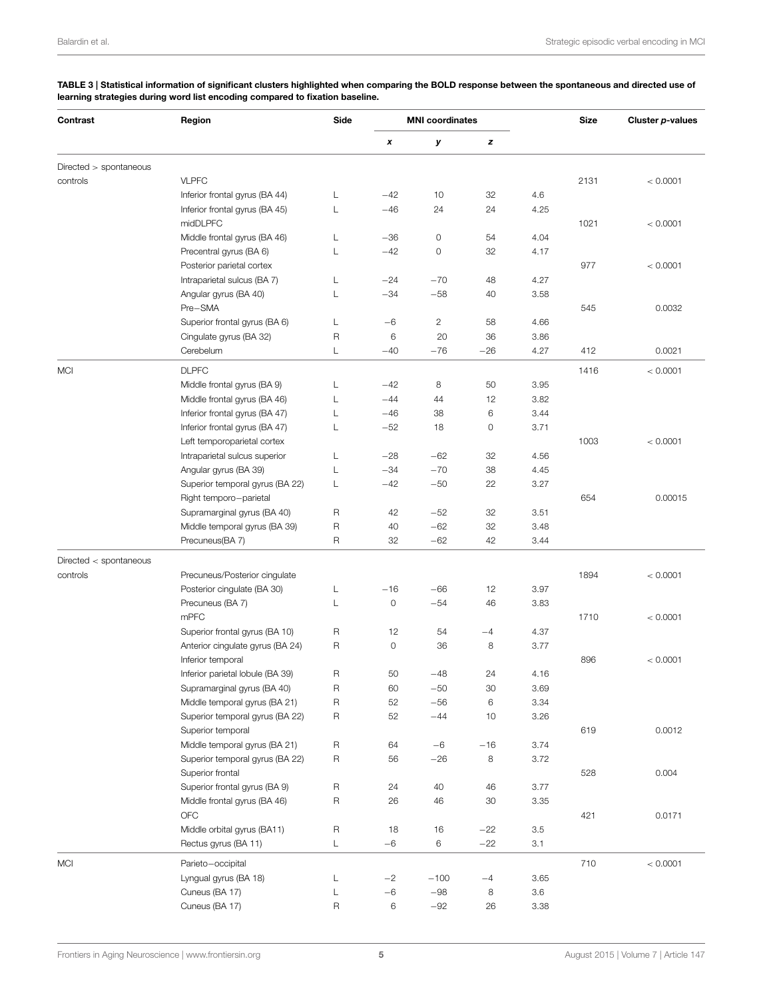| Contrast                 | Region                           | Side        | <b>MNI</b> coordinates |              |       | <b>Size</b> | Cluster p-values |          |
|--------------------------|----------------------------------|-------------|------------------------|--------------|-------|-------------|------------------|----------|
|                          |                                  |             | x                      | У            | z     |             |                  |          |
| $Directed$ > spontaneous |                                  |             |                        |              |       |             |                  |          |
| controls                 | <b>VLPFC</b>                     |             |                        |              |       |             | 2131             | < 0.0001 |
|                          | Inferior frontal gyrus (BA 44)   | L           | $-42$                  | 10           | 32    | 4.6         |                  |          |
|                          | Inferior frontal gyrus (BA 45)   | Г           | $-46$                  | 24           | 24    | 4.25        |                  |          |
|                          | midDLPFC                         |             |                        |              |       |             | 1021             | < 0.0001 |
|                          | Middle frontal gyrus (BA 46)     | L           | $-36$                  | 0            | 54    | 4.04        |                  |          |
|                          | Precentral gyrus (BA 6)          | L           | $-42$                  | 0            | 32    | 4.17        |                  |          |
|                          | Posterior parietal cortex        |             |                        |              |       |             | 977              | < 0.0001 |
|                          | Intraparietal sulcus (BA 7)      | L           | $-24$                  | $-70$        | 48    | 4.27        |                  |          |
|                          | Angular gyrus (BA 40)<br>Pre-SMA | L           | $-34$                  | $-58$        | 40    | 3.58        | 545              | 0.0032   |
|                          | Superior frontal gyrus (BA 6)    | L           | $-6$                   | $\mathbf{2}$ | 58    | 4.66        |                  |          |
|                          | Cingulate gyrus (BA 32)          | R           | 6                      | 20           | 36    | 3.86        |                  |          |
|                          | Cerebelum                        | L           | $-40$                  | $-76$        | $-26$ | 4.27        | 412              | 0.0021   |
| <b>MCI</b>               | <b>DLPFC</b>                     |             |                        |              |       |             | 1416             | < 0.0001 |
|                          | Middle frontal gyrus (BA 9)      | L           | $-42$                  | 8            | 50    | 3.95        |                  |          |
|                          | Middle frontal gyrus (BA 46)     | L           | $-44$                  | 44           | 12    | 3.82        |                  |          |
|                          | Inferior frontal gyrus (BA 47)   | L           | $-46$                  | 38           | 6     | 3.44        |                  |          |
|                          | Inferior frontal gyrus (BA 47)   | L           | $-52$                  | 18           | 0     | 3.71        |                  |          |
|                          | Left temporoparietal cortex      |             |                        |              |       |             | 1003             | < 0.0001 |
|                          | Intraparietal sulcus superior    | L           | $-28$                  | $-62$        | 32    | 4.56        |                  |          |
|                          | Angular gyrus (BA 39)            | L           | $-34$                  | $-70$        | 38    | 4.45        |                  |          |
|                          | Superior temporal gyrus (BA 22)  | L           | $-42$                  | $-50$        | 22    | 3.27        |                  |          |
|                          | Right temporo-parietal           |             |                        |              |       |             | 654              | 0.00015  |
|                          | Supramarginal gyrus (BA 40)      | R           | 42                     | $-52$        | 32    | 3.51        |                  |          |
|                          | Middle temporal gyrus (BA 39)    | R           | 40                     | $-62$        | 32    | 3.48        |                  |          |
|                          | Precuneus(BA 7)                  | R           | 32                     | $-62$        | 42    | 3.44        |                  |          |
| Directed < spontaneous   |                                  |             |                        |              |       |             |                  |          |
| controls                 | Precuneus/Posterior cingulate    |             |                        |              |       |             | 1894             | < 0.0001 |
|                          | Posterior cingulate (BA 30)      | L           | $-16$                  | $-66$        | 12    | 3.97        |                  |          |
|                          | Precuneus (BA 7)                 | L           | $\mathsf{O}\xspace$    | $-54$        | 46    | 3.83        |                  |          |
|                          | mPFC                             |             |                        |              |       |             | 1710             | < 0.0001 |
|                          | Superior frontal gyrus (BA 10)   | R           | 12                     | 54           | $-4$  | 4.37        |                  |          |
|                          | Anterior cingulate gyrus (BA 24) | R           | $\circ$                | 36           | 8     | 3.77        |                  |          |
|                          | Inferior temporal                |             |                        |              |       |             | 896              | < 0.0001 |
|                          | Inferior parietal lobule (BA 39) | R           | 50                     | $-48$        | 24    | 4.16        |                  |          |
|                          | Supramarginal gyrus (BA 40)      | R           | 60                     | -50          | 30    | 3.69        |                  |          |
|                          | Middle temporal gyrus (BA 21)    | R           | 52                     | $-56$        | 6     | 3.34        |                  |          |
|                          | Superior temporal gyrus (BA 22)  | R           | 52                     | $-44$        | 10    | 3.26        |                  |          |
|                          | Superior temporal                |             |                        |              |       |             | 619              | 0.0012   |
|                          | Middle temporal gyrus (BA 21)    | $\mathsf R$ | 64                     | $-6$         | $-16$ | 3.74        |                  |          |
|                          | Superior temporal gyrus (BA 22)  | $\mathsf R$ | 56                     | $-26$        | 8     | 3.72        |                  |          |
|                          | Superior frontal                 |             |                        |              |       |             | 528              | 0.004    |
|                          | Superior frontal gyrus (BA 9)    | $\mathsf R$ | 24                     | 40           | 46    | 3.77        |                  |          |
|                          | Middle frontal gyrus (BA 46)     | $\mathsf R$ | 26                     | 46           | 30    | 3.35        |                  |          |
|                          | OFC                              |             |                        |              |       |             | 421              | 0.0171   |
|                          | Middle orbital gyrus (BA11)      | $\mathsf R$ | 18                     | 16           | $-22$ | $3.5\,$     |                  |          |
|                          | Rectus gyrus (BA 11)             | L           | $-6$                   | 6            | $-22$ | 3.1         |                  |          |
| <b>MCI</b>               | Parieto-occipital                |             |                        |              |       |             | 710              | < 0.0001 |
|                          | Lyngual gyrus (BA 18)            | L           | $-2$                   | $-100$       | $-4$  | 3.65        |                  |          |
|                          | Cuneus (BA 17)                   | L           | $-6$                   | $-98\,$      | 8     | 3.6         |                  |          |
|                          | Cuneus (BA 17)                   | $\mathsf R$ | 6                      | $-92$        | 26    | 3.38        |                  |          |

<span id="page-4-0"></span>TABLE 3 | Statistical information of significant clusters highlighted when comparing the BOLD response between the spontaneous and directed use of learning strategies during word list encoding compared to fixation baseline.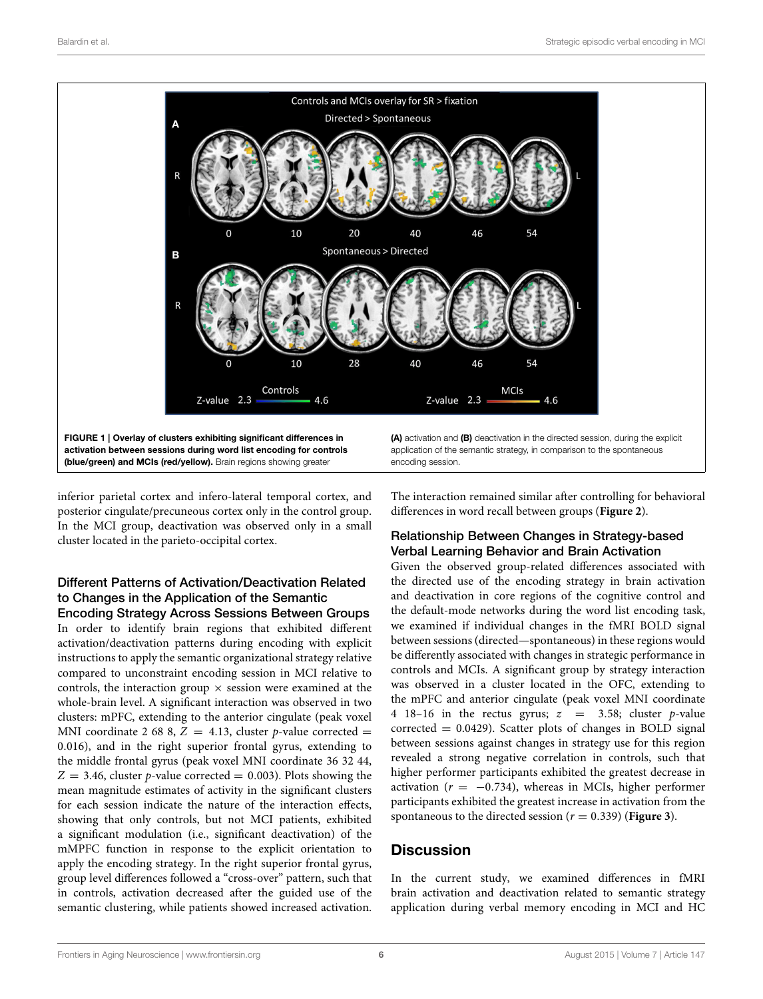

<span id="page-5-0"></span>inferior parietal cortex and infero-lateral temporal cortex, and posterior cingulate/precuneous cortex only in the control group. In the MCI group, deactivation was observed only in a small cluster located in the parieto-occipital cortex.

#### Different Patterns of Activation/Deactivation Related to Changes in the Application of the Semantic Encoding Strategy Across Sessions Between Groups

In order to identify brain regions that exhibited different activation/deactivation patterns during encoding with explicit instructions to apply the semantic organizational strategy relative compared to unconstraint encoding session in MCI relative to controls, the interaction group  $\times$  session were examined at the whole-brain level. A significant interaction was observed in two clusters: mPFC, extending to the anterior cingulate (peak voxel MNI coordinate 2 68 8,  $Z = 4.13$ , cluster p-value corrected = 0.016), and in the right superior frontal gyrus, extending to the middle frontal gyrus (peak voxel MNI coordinate 36 32 44,  $Z = 3.46$ , cluster p-value corrected = 0.003). Plots showing the mean magnitude estimates of activity in the significant clusters for each session indicate the nature of the interaction effects, showing that only controls, but not MCI patients, exhibited a significant modulation (i.e., significant deactivation) of the mMPFC function in response to the explicit orientation to apply the encoding strategy. In the right superior frontal gyrus, group level differences followed a "cross-over" pattern, such that in controls, activation decreased after the guided use of the semantic clustering, while patients showed increased activation. The interaction remained similar after controlling for behavioral differences in word recall between groups (**[Figure 2](#page-6-0)**).

## Relationship Between Changes in Strategy-based Verbal Learning Behavior and Brain Activation

Given the observed group-related differences associated with the directed use of the encoding strategy in brain activation and deactivation in core regions of the cognitive control and the default-mode networks during the word list encoding task, we examined if individual changes in the fMRI BOLD signal between sessions (directed—spontaneous) in these regions would be differently associated with changes in strategic performance in controls and MCIs. A significant group by strategy interaction was observed in a cluster located in the OFC, extending to the mPFC and anterior cingulate (peak voxel MNI coordinate 4 18-16 in the rectus gyrus;  $z = 3.58$ ; cluster p-value  $corrected = 0.0429$ . Scatter plots of changes in BOLD signal between sessions against changes in strategy use for this region revealed a strong negative correlation in controls, such that higher performer participants exhibited the greatest decrease in activation ( $r = -0.734$ ), whereas in MCIs, higher performer participants exhibited the greatest increase in activation from the spontaneous to the directed session ( $r = 0.339$ ) (**[Figure 3](#page-6-1)**).

# **Discussion**

In the current study, we examined differences in fMRI brain activation and deactivation related to semantic strategy application during verbal memory encoding in MCI and HC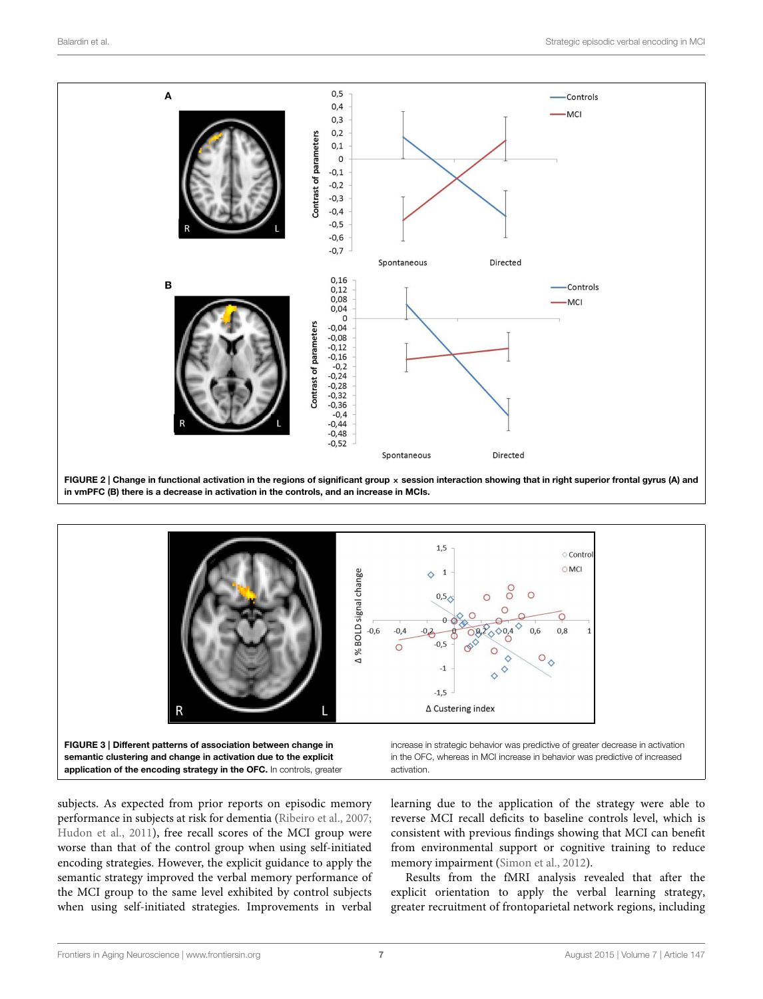

<span id="page-6-0"></span>

activation.

subjects. As expected from prior reports on episodic memory performance in subjects at risk for dementia [\(Ribeiro et al., 2007;](#page-9-5) [Hudon et al., 2011\)](#page-8-16), free recall scores of the MCI group were worse than that of the control group when using self-initiated encoding strategies. However, the explicit guidance to apply the semantic strategy improved the verbal memory performance of the MCI group to the same level exhibited by control subjects when using self-initiated strategies. Improvements in verbal

<span id="page-6-1"></span>application of the encoding strategy in the OFC. In controls, greater

learning due to the application of the strategy were able to reverse MCI recall deficits to baseline controls level, which is consistent with previous findings showing that MCI can benefit from environmental support or cognitive training to reduce memory impairment [\(Simon et al., 2012\)](#page-9-13).

Results from the fMRI analysis revealed that after the explicit orientation to apply the verbal learning strategy, greater recruitment of frontoparietal network regions, including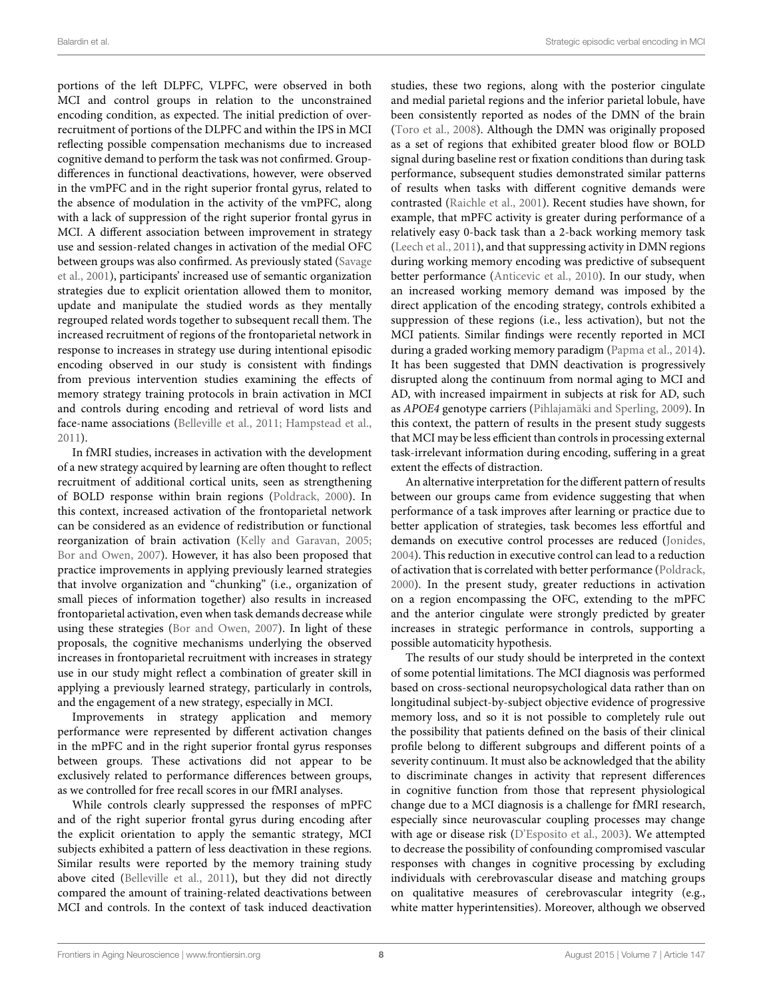portions of the left DLPFC, VLPFC, were observed in both MCI and control groups in relation to the unconstrained encoding condition, as expected. The initial prediction of overrecruitment of portions of the DLPFC and within the IPS in MCI reflecting possible compensation mechanisms due to increased cognitive demand to perform the task was not confirmed. Groupdifferences in functional deactivations, however, were observed in the vmPFC and in the right superior frontal gyrus, related to the absence of modulation in the activity of the vmPFC, along with a lack of suppression of the right superior frontal gyrus in MCI. A different association between improvement in strategy use and session-related changes in activation of the medial OFC between groups was also confirmed. As previously stated (Savage et al., [2001\)](#page-9-9), participants' increased use of semantic organization strategies due to explicit orientation allowed them to monitor, update and manipulate the studied words as they mentally regrouped related words together to subsequent recall them. The increased recruitment of regions of the frontoparietal network in response to increases in strategy use during intentional episodic encoding observed in our study is consistent with findings from previous intervention studies examining the effects of memory strategy training protocols in brain activation in MCI and controls during encoding and retrieval of word lists and face-name associations [\(Belleville et al., 2011;](#page-8-9) [Hampstead et al.,](#page-8-10) [2011\)](#page-8-10).

In fMRI studies, increases in activation with the development of a new strategy acquired by learning are often thought to reflect recruitment of additional cortical units, seen as strengthening of BOLD response within brain regions [\(Poldrack, 2000\)](#page-9-14). In this context, increased activation of the frontoparietal network can be considered as an evidence of redistribution or functional reorganization of brain activation [\(Kelly and Garavan, 2005;](#page-9-15) [Bor and Owen, 2007\)](#page-8-17). However, it has also been proposed that practice improvements in applying previously learned strategies that involve organization and "chunking" (i.e., organization of small pieces of information together) also results in increased frontoparietal activation, even when task demands decrease while using these strategies [\(Bor and Owen, 2007\)](#page-8-17). In light of these proposals, the cognitive mechanisms underlying the observed increases in frontoparietal recruitment with increases in strategy use in our study might reflect a combination of greater skill in applying a previously learned strategy, particularly in controls, and the engagement of a new strategy, especially in MCI.

Improvements in strategy application and memory performance were represented by different activation changes in the mPFC and in the right superior frontal gyrus responses between groups. These activations did not appear to be exclusively related to performance differences between groups, as we controlled for free recall scores in our fMRI analyses.

While controls clearly suppressed the responses of mPFC and of the right superior frontal gyrus during encoding after the explicit orientation to apply the semantic strategy, MCI subjects exhibited a pattern of less deactivation in these regions. Similar results were reported by the memory training study above cited [\(Belleville et al., 2011\)](#page-8-9), but they did not directly compared the amount of training-related deactivations between MCI and controls. In the context of task induced deactivation studies, these two regions, along with the posterior cingulate and medial parietal regions and the inferior parietal lobule, have been consistently reported as nodes of the DMN of the brain [\(Toro et al., 2008\)](#page-9-16). Although the DMN was originally proposed as a set of regions that exhibited greater blood flow or BOLD signal during baseline rest or fixation conditions than during task performance, subsequent studies demonstrated similar patterns of results when tasks with different cognitive demands were contrasted [\(Raichle et al., 2001\)](#page-9-17). Recent studies have shown, for example, that mPFC activity is greater during performance of a relatively easy 0-back task than a 2-back working memory task [\(Leech et al., 2011\)](#page-9-18), and that suppressing activity in DMN regions during working memory encoding was predictive of subsequent better performance [\(Anticevic et al., 2010\)](#page-8-18). In our study, when an increased working memory demand was imposed by the direct application of the encoding strategy, controls exhibited a suppression of these regions (i.e., less activation), but not the MCI patients. Similar findings were recently reported in MCI during a graded working memory paradigm [\(Papma et al., 2014\)](#page-9-19). It has been suggested that DMN deactivation is progressively disrupted along the continuum from normal aging to MCI and AD, with increased impairment in subjects at risk for AD, such as APOE4 genotype carriers [\(Pihlajamäki and Sperling, 2009\)](#page-9-20). In this context, the pattern of results in the present study suggests that MCI may be less efficient than controls in processing external task-irrelevant information during encoding, suffering in a great extent the effects of distraction.

An alternative interpretation for the different pattern of results between our groups came from evidence suggesting that when performance of a task improves after learning or practice due to better application of strategies, task becomes less effortful and demands on executive control processes are reduced [\(Jonides,](#page-9-21) [2004\)](#page-9-21). This reduction in executive control can lead to a reduction of activation that is correlated with better performance [\(Poldrack,](#page-9-14) [2000\)](#page-9-14). In the present study, greater reductions in activation on a region encompassing the OFC, extending to the mPFC and the anterior cingulate were strongly predicted by greater increases in strategic performance in controls, supporting a possible automaticity hypothesis.

The results of our study should be interpreted in the context of some potential limitations. The MCI diagnosis was performed based on cross-sectional neuropsychological data rather than on longitudinal subject-by-subject objective evidence of progressive memory loss, and so it is not possible to completely rule out the possibility that patients defined on the basis of their clinical profile belong to different subgroups and different points of a severity continuum. It must also be acknowledged that the ability to discriminate changes in activity that represent differences in cognitive function from those that represent physiological change due to a MCI diagnosis is a challenge for fMRI research, especially since neurovascular coupling processes may change with age or disease risk [\(D'Esposito et al., 2003\)](#page-8-19). We attempted to decrease the possibility of confounding compromised vascular responses with changes in cognitive processing by excluding individuals with cerebrovascular disease and matching groups on qualitative measures of cerebrovascular integrity (e.g., white matter hyperintensities). Moreover, although we observed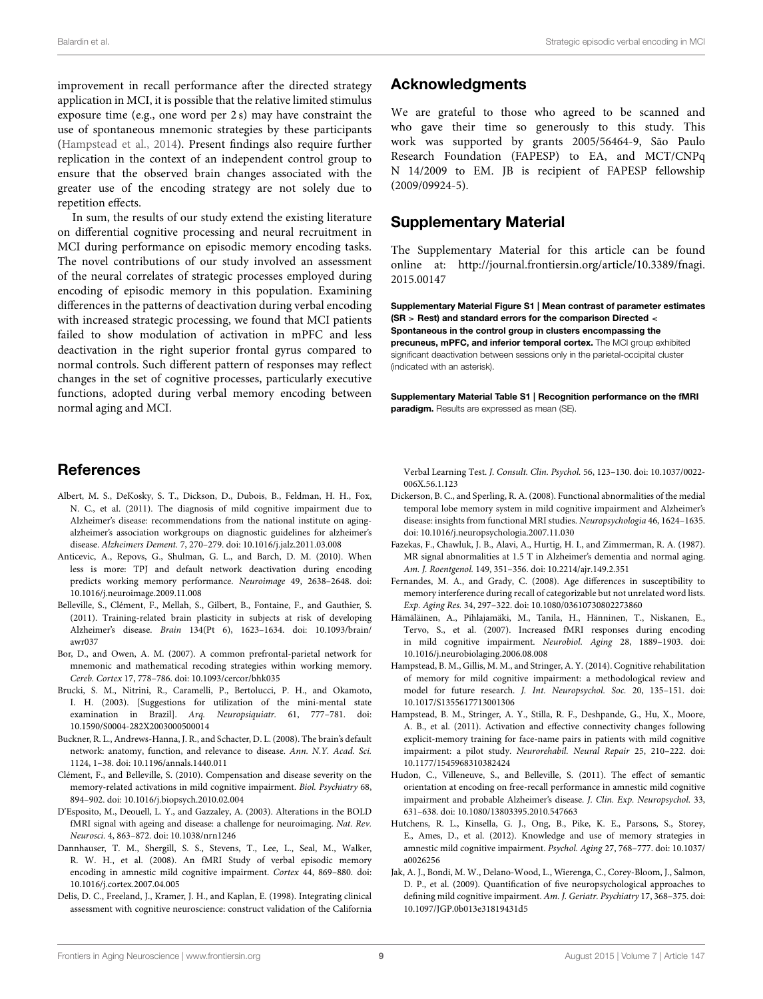improvement in recall performance after the directed strategy application in MCI, it is possible that the relative limited stimulus exposure time (e.g., one word per 2 s) may have constraint the use of spontaneous mnemonic strategies by these participants [\(Hampstead et al., 2014\)](#page-8-20). Present findings also require further replication in the context of an independent control group to ensure that the observed brain changes associated with the greater use of the encoding strategy are not solely due to repetition effects.

In sum, the results of our study extend the existing literature on differential cognitive processing and neural recruitment in MCI during performance on episodic memory encoding tasks. The novel contributions of our study involved an assessment of the neural correlates of strategic processes employed during encoding of episodic memory in this population. Examining differences in the patterns of deactivation during verbal encoding with increased strategic processing, we found that MCI patients failed to show modulation of activation in mPFC and less deactivation in the right superior frontal gyrus compared to normal controls. Such different pattern of responses may reflect changes in the set of cognitive processes, particularly executive functions, adopted during verbal memory encoding between normal aging and MCI.

## References

- <span id="page-8-0"></span>Albert, M. S., DeKosky, S. T., Dickson, D., Dubois, B., Feldman, H. H., Fox, N. C., et al. (2011). The diagnosis of mild cognitive impairment due to Alzheimer's disease: recommendations from the national institute on agingalzheimer's association workgroups on diagnostic guidelines for alzheimer's disease. Alzheimers Dement. 7, 270–279. doi: 10.1016/j.jalz.2011.03.008
- <span id="page-8-18"></span>Anticevic, A., Repovs, G., Shulman, G. L., and Barch, D. M. (2010). When less is more: TPJ and default network deactivation during encoding predicts working memory performance. Neuroimage 49, 2638–2648. doi: 10.1016/j.neuroimage.2009.11.008
- <span id="page-8-9"></span>Belleville, S., Clément, F., Mellah, S., Gilbert, B., Fontaine, F., and Gauthier, S. (2011). Training-related brain plasticity in subjects at risk of developing Alzheimer's disease. Brain 134(Pt 6), 1623–1634. doi: 10.1093/brain/ awr037
- <span id="page-8-17"></span>Bor, D., and Owen, A. M. (2007). A common prefrontal-parietal network for mnemonic and mathematical recoding strategies within working memory. Cereb. Cortex 17, 778–786. doi: 10.1093/cercor/bhk035
- <span id="page-8-11"></span>Brucki, S. M., Nitrini, R., Caramelli, P., Bertolucci, P. H., and Okamoto, I. H. (2003). [Suggestions for utilization of the mini-mental state examination in Brazil]. Arq. Neuropsiquiatr. 61, 777–781. doi: 10.1590/S0004-282X2003000500014
- <span id="page-8-6"></span>Buckner, R. L., Andrews-Hanna, J. R., and Schacter, D. L. (2008). The brain's default network: anatomy, function, and relevance to disease. Ann. N.Y. Acad. Sci. 1124, 1–38. doi: 10.1196/annals.1440.011
- <span id="page-8-5"></span>Clément, F., and Belleville, S. (2010). Compensation and disease severity on the memory-related activations in mild cognitive impairment. Biol. Psychiatry 68, 894–902. doi: 10.1016/j.biopsych.2010.02.004
- <span id="page-8-19"></span>D'Esposito, M., Deouell, L. Y., and Gazzaley, A. (2003). Alterations in the BOLD fMRI signal with ageing and disease: a challenge for neuroimaging. Nat. Rev. Neurosci. 4, 863–872. doi: 10.1038/nrn1246
- <span id="page-8-4"></span>Dannhauser, T. M., Shergill, S. S., Stevens, T., Lee, L., Seal, M., Walker, R. W. H., et al. (2008). An fMRI Study of verbal episodic memory encoding in amnestic mild cognitive impairment. Cortex 44, 869–880. doi: 10.1016/j.cortex.2007.04.005
- <span id="page-8-12"></span>Delis, D. C., Freeland, J., Kramer, J. H., and Kaplan, E. (1998). Integrating clinical assessment with cognitive neuroscience: construct validation of the California

## Acknowledgments

We are grateful to those who agreed to be scanned and who gave their time so generously to this study. This work was supported by grants 2005/56464-9, São Paulo Research Foundation (FAPESP) to EA, and MCT/CNPq N 14/2009 to EM. JB is recipient of FAPESP fellowship (2009/09924-5).

## Supplementary Material

The Supplementary Material for this article can be found [online at: http://journal.frontiersin.org/article/10.3389/fnagi.](http://journal.frontiersin.org/article/10.3389/fnagi.2015.00147) 2015.00147

<span id="page-8-15"></span>Supplementary Material Figure S1 | Mean contrast of parameter estimates (SR > Rest) and standard errors for the comparison Directed < Spontaneous in the control group in clusters encompassing the precuneus, mPFC, and inferior temporal cortex. The MCI group exhibited significant deactivation between sessions only in the parietal-occipital cluster (indicated with an asterisk).

<span id="page-8-14"></span>Supplementary Material Table S1 | Recognition performance on the fMRI paradigm. Results are expressed as mean (SE).

Verbal Learning Test. J. Consult. Clin. Psychol. 56, 123–130. doi: 10.1037/0022- 006X.56.1.123

- <span id="page-8-2"></span>Dickerson, B. C., and Sperling, R. A. (2008). Functional abnormalities of the medial temporal lobe memory system in mild cognitive impairment and Alzheimer's disease: insights from functional MRI studies. Neuropsychologia 46, 1624–1635. doi: 10.1016/j.neuropsychologia.2007.11.030
- <span id="page-8-13"></span>Fazekas, F., Chawluk, J. B., Alavi, A., Hurtig, H. I., and Zimmerman, R. A. (1987). MR signal abnormalities at 1.5 T in Alzheimer's dementia and normal aging. Am. J. Roentgenol. 149, 351–356. doi: 10.2214/ajr.149.2.351
- <span id="page-8-7"></span>Fernandes, M. A., and Grady, C. (2008). Age differences in susceptibility to memory interference during recall of categorizable but not unrelated word lists. Exp. Aging Res. 34, 297–322. doi: 10.1080/03610730802273860
- <span id="page-8-3"></span>Hämäläinen, A., Pihlajamäki, M., Tanila, H., Hänninen, T., Niskanen, E., Tervo, S., et al. (2007). Increased fMRI responses during encoding in mild cognitive impairment. Neurobiol. Aging 28, 1889–1903. doi: 10.1016/j.neurobiolaging.2006.08.008
- <span id="page-8-20"></span>Hampstead, B. M., Gillis, M. M., and Stringer, A. Y. (2014). Cognitive rehabilitation of memory for mild cognitive impairment: a methodological review and model for future research. J. Int. Neuropsychol. Soc. 20, 135–151. doi: 10.1017/S1355617713001306
- <span id="page-8-10"></span>Hampstead, B. M., Stringer, A. Y., Stilla, R. F., Deshpande, G., Hu, X., Moore, A. B., et al. (2011). Activation and effective connectivity changes following explicit-memory training for face-name pairs in patients with mild cognitive impairment: a pilot study. Neurorehabil. Neural Repair 25, 210–222. doi: 10.1177/1545968310382424
- <span id="page-8-16"></span>Hudon, C., Villeneuve, S., and Belleville, S. (2011). The effect of semantic orientation at encoding on free-recall performance in amnestic mild cognitive impairment and probable Alzheimer's disease. J. Clin. Exp. Neuropsychol. 33, 631–638. doi: 10.1080/13803395.2010.547663
- <span id="page-8-8"></span>Hutchens, R. L., Kinsella, G. J., Ong, B., Pike, K. E., Parsons, S., Storey, E., Ames, D., et al. (2012). Knowledge and use of memory strategies in amnestic mild cognitive impairment. Psychol. Aging 27, 768–777. doi: 10.1037/ a0026256
- <span id="page-8-1"></span>Jak, A. J., Bondi, M. W., Delano-Wood, L., Wierenga, C., Corey-Bloom, J., Salmon, D. P., et al. (2009). Quantification of five neuropsychological approaches to defining mild cognitive impairment. Am. J. Geriatr. Psychiatry 17, 368–375. doi: 10.1097/JGP.0b013e31819431d5